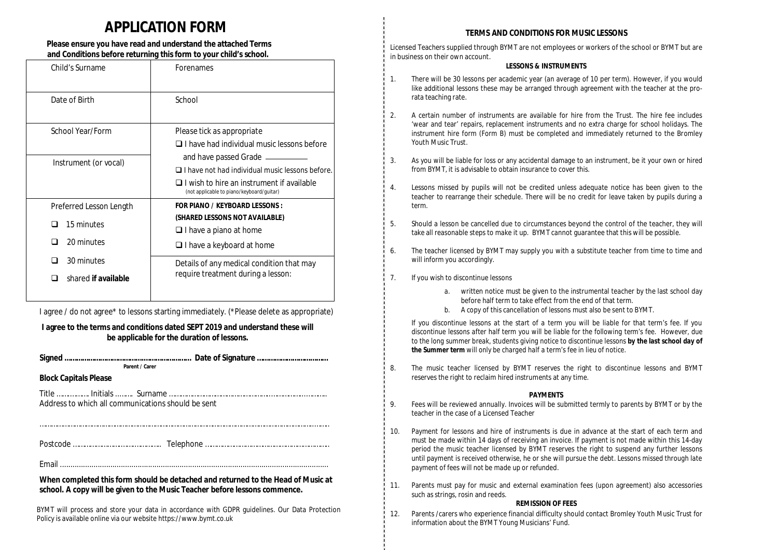## **APPLICATION FORM**

#### **Please ensure you have read and understand the attached Terms and Conditions before returning this form to your child's school.**

| Child's Surname                                     | Forenames                                                                                                                                                                               |
|-----------------------------------------------------|-----------------------------------------------------------------------------------------------------------------------------------------------------------------------------------------|
| Date of Birth                                       | School                                                                                                                                                                                  |
| School Year/Form                                    | Please tick as appropriate<br>$\Box$ I have had individual music lessons before                                                                                                         |
| Instrument (or vocal)                               | and have passed Grade ______<br>$\Box$ I have not had individual music lessons before.<br>$\Box$ I wish to hire an instrument if available<br>(not applicable to piano/keyboard/guitar) |
| Preferred Lesson Length<br>15 minutes<br>20 minutes | FOR PIANO / KFYBOARD LFSSONS :<br>(SHARED LESSONS NOT AVAILABLE)<br>$\Box$ I have a piano at home<br>$\Box$ I have a keyboard at home                                                   |
| 30 minutes<br>shared if available                   | Details of any medical condition that may<br>require treatment during a lesson:                                                                                                         |

I agree / do not agree\* to lessons starting immediately. (\*Please delete as appropriate)

#### **I agree to the terms and conditions dated SEPT 2019 and understand these will be applicable for the duration of lessons.**

| <b>Darant / Carar</b> |  |
|-----------------------|--|

#### **Block Capitals Please**

Title …….………. Initials ..……. Surname ……………………………………………..……………...……….. Address to which all communications should be sent

Postcode …………………….…….………….. Telephone ………………………………………………………..

……………………………………………………………………………………………………………………………..……..

Email ................................................................................................................................

**When completed this form should be detached and returned to the Head of Music at school. A copy will be given to the Music Teacher before lessons commence.**

BYMT will process and store your data in accordance with GDPR guidelines. Our Data Protection Policy is available online via our website<https://www.bymt.co.uk>

#### **TERMS AND CONDITIONS FOR MUSIC LESSONS**

Licensed Teachers supplied through BYMT are not employees or workers of the school or BYMT but are in business on their own account.

#### **LESSONS & INSTRUMENTS**

- 1. There will be 30 lessons per academic year (an average of 10 per term). However, if you would like additional lessons these may be arranged through agreement with the teacher at the prorata teaching rate.
- 2. A certain number of instruments are available for hire from the Trust. The hire fee includes 'wear and tear' repairs, replacement instruments and no extra charge for school holidays. The instrument hire form *(Form B)* must be completed and immediately returned to the Bromley Youth Music Trust.
- 3. As you will be liable for loss or any accidental damage to an instrument, be it your own or hired from BYMT, it is advisable to obtain insurance to cover this.
- 4. Lessons missed by pupils will not be credited unless adequate notice has been given to the teacher to rearrange their schedule. There will be no credit for leave taken by pupils during a term.
- 5. Should a lesson be cancelled due to circumstances beyond the control of the teacher, they will take all reasonable steps to make it up. BYMT cannot guarantee that this will be possible.
- 6. The teacher licensed by BYMT may supply you with a substitute teacher from time to time and will inform you accordingly.
- 7. If you wish to discontinue lessons
	- *a.* written notice must be given to the instrumental teacher by the last school day before half term to take effect from the end of that term.
	- *b.* A copy of this cancellation of lessons must also be sent to BYMT.

*If you discontinue lessons at the start of a term you will be liable for that term's fee. If you discontinue lessons after half term you will be liable for the following term's fee. However, due to the long summer break, students giving notice to discontinue lessons by the last school day of the Summer term will only be charged half a term's fee in lieu of notice.*

8. The music teacher licensed by BYMT reserves the right to discontinue lessons and BYMT reserves the right to reclaim hired instruments at any time.

#### **PAYMENTS**

- 9. Fees will be reviewed annually. Invoices will be submitted termly to parents by BYMT or by the teacher in the case of a Licensed Teacher
- 10. Payment for lessons and hire of instruments is due in advance at the start of each term and must be made within 14 days of receiving an invoice. If payment is not made within this 14-day period the music teacher licensed by BYMT reserves the right to suspend any further lessons until payment is received otherwise, he or she will pursue the debt. *Lessons missed through late payment of fees will not be made up or refunded.*
- 11. Parents must pay for music and external examination fees (upon agreement) also accessories such as strings, rosin and reeds.

#### **REMISSION OF FEES**

12. Parents /carers who experience financial difficulty should contact Bromley Youth Music Trust for information about the BYMT Young Musicians' Fund.